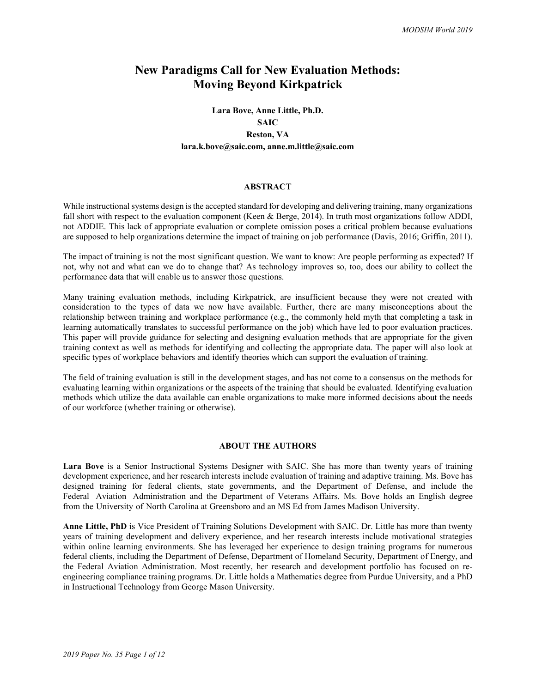# **New Paradigms Call for New Evaluation Methods: Moving Beyond Kirkpatrick**

# **Lara Bove, Anne Little, Ph.D. SAIC Reston, VA lara.k.bove@saic.com, anne.m.little@saic.com**

#### **ABSTRACT**

While instructional systems design is the accepted standard for developing and delivering training, many organizations fall short with respect to the evaluation component (Keen & Berge, 2014). In truth most organizations follow ADDI, not ADDIE. This lack of appropriate evaluation or complete omission poses a critical problem because evaluations are supposed to help organizations determine the impact of training on job performance (Davis, 2016; Griffin, 2011).

The impact of training is not the most significant question. We want to know: Are people performing as expected? If not, why not and what can we do to change that? As technology improves so, too, does our ability to collect the performance data that will enable us to answer those questions.

Many training evaluation methods, including Kirkpatrick, are insufficient because they were not created with consideration to the types of data we now have available. Further, there are many misconceptions about the relationship between training and workplace performance (e.g., the commonly held myth that completing a task in learning automatically translates to successful performance on the job) which have led to poor evaluation practices. This paper will provide guidance for selecting and designing evaluation methods that are appropriate for the given training context as well as methods for identifying and collecting the appropriate data. The paper will also look at specific types of workplace behaviors and identify theories which can support the evaluation of training.

The field of training evaluation is still in the development stages, and has not come to a consensus on the methods for evaluating learning within organizations or the aspects of the training that should be evaluated. Identifying evaluation methods which utilize the data available can enable organizations to make more informed decisions about the needs of our workforce (whether training or otherwise).

#### **ABOUT THE AUTHORS**

**Lara Bove** is a Senior Instructional Systems Designer with SAIC. She has more than twenty years of training development experience, and her research interests include evaluation of training and adaptive training. Ms. Bove has designed training for federal clients, state governments, and the Department of Defense, and include the Federal Aviation Administration and the Department of Veterans Affairs. Ms. Bove holds an English degree from the University of North Carolina at Greensboro and an MS Ed from James Madison University.

**Anne Little, PhD** is Vice President of Training Solutions Development with SAIC. Dr. Little has more than twenty years of training development and delivery experience, and her research interests include motivational strategies within online learning environments. She has leveraged her experience to design training programs for numerous federal clients, including the Department of Defense, Department of Homeland Security, Department of Energy, and the Federal Aviation Administration. Most recently, her research and development portfolio has focused on reengineering compliance training programs. Dr. Little holds a Mathematics degree from Purdue University, and a PhD in Instructional Technology from George Mason University.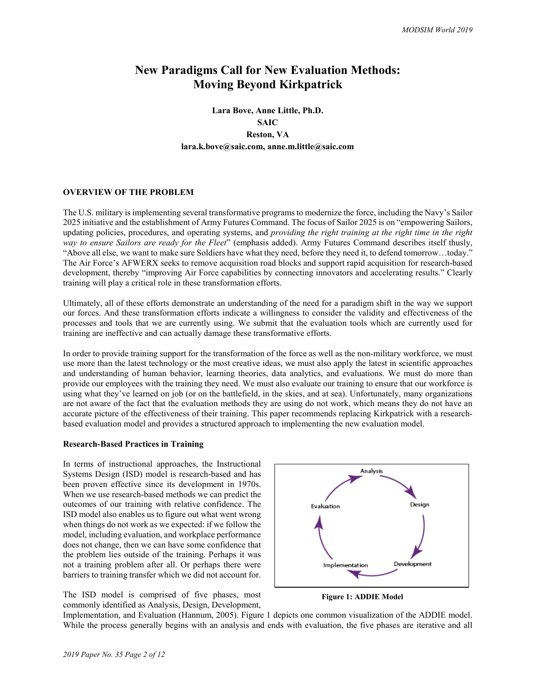# **New Paradigms Call for New Evaluation Methods: Moving Beyond Kirkpatrick**

# **Lara Bove, Anne Little, Ph.D. SAIC Reston, VA lara.k.bove@saic.com, anne.m.little@saic.com**

## **OVERVIEW OF THE PROBLEM**

The U.S. military is implementing several transformative programs to modernize the force, including the Navy's Sailor 2025 initiative and the establishment of Army Futures Command. The focus of Sailor 2025 is on "empowering Sailors, updating policies, procedures, and operating systems, and *providing the right training at the right time in the right way to ensure Sailors are ready for the Fleet*" (emphasis added). Army Futures Command describes itself thusly, "Above all else, we want to make sure Soldiers have what they need, before they need it, to defend tomorrow…today." The Air Force's AFWERX seeks to remove acquisition road blocks and support rapid acquisition for research-based development, thereby "improving Air Force capabilities by connecting innovators and accelerating results." Clearly training will play a critical role in these transformation efforts.

Ultimately, all of these efforts demonstrate an understanding of the need for a paradigm shift in the way we support our forces. And these transformation efforts indicate a willingness to consider the validity and effectiveness of the processes and tools that we are currently using. We submit that the evaluation tools which are currently used for training are ineffective and can actually damage these transformative efforts.

In order to provide training support for the transformation of the force as well as the non-military workforce, we must use more than the latest technology or the most creative ideas, we must also apply the latest in scientific approaches and understanding of human behavior, learning theories, data analytics, and evaluations. We must do more than provide our employees with the training they need. We must also evaluate our training to ensure that our workforce is using what they've learned on job (or on the battlefield, in the skies, and at sea). Unfortunately, many organizations are not aware of the fact that the evaluation methods they are using do not work, which means they do not have an accurate picture of the effectiveness of their training. This paper recommends replacing Kirkpatrick with a researchbased evaluation model and provides a structured approach to implementing the new evaluation model.

#### **Research-Based Practices in Training**

In terms of instructional approaches, the Instructional Systems Design (ISD) model is research-based and has been proven effective since its development in 1970s. When we use research-based methods we can predict the outcomes of our training with relative confidence. The ISD model also enables us to figure out what went wrong when things do not work as we expected: if we follow the model, including evaluation, and workplace performance does not change, then we can have some confidence that the problem lies outside of the training. Perhaps it was not a training problem after all. Or perhaps there were barriers to training transfer which we did not account for.

The ISD model is comprised of five phases, most commonly identified as Analysis, Design, Development,



<span id="page-1-0"></span>**Figure 1: ADDIE Model**

Implementation, and Evaluation (Hannum, 2005). [Figure 1](#page-1-0) depicts one common visualization of the ADDIE model. While the process generally begins with an analysis and ends with evaluation, the five phases are iterative and all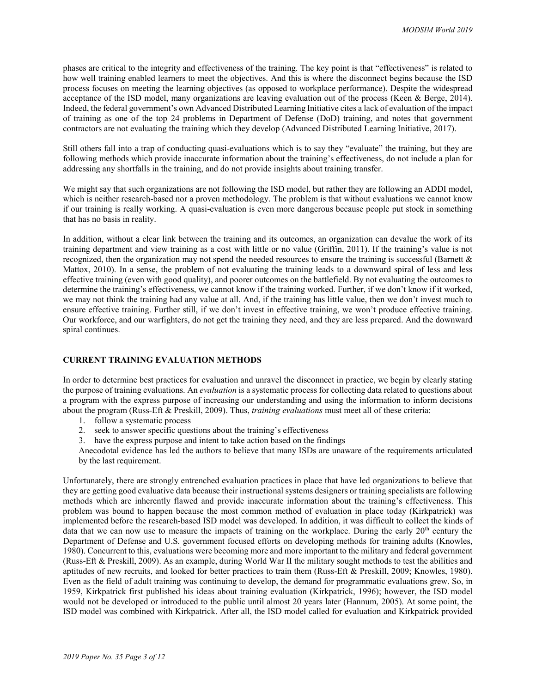phases are critical to the integrity and effectiveness of the training. The key point is that "effectiveness" is related to how well training enabled learners to meet the objectives. And this is where the disconnect begins because the ISD process focuses on meeting the learning objectives (as opposed to workplace performance). Despite the widespread acceptance of the ISD model, many organizations are leaving evaluation out of the process (Keen & Berge, 2014). Indeed, the federal government's own Advanced Distributed Learning Initiative cites a lack of evaluation of the impact of training as one of the top 24 problems in Department of Defense (DoD) training, and notes that government contractors are not evaluating the training which they develop (Advanced Distributed Learning Initiative, 2017).

Still others fall into a trap of conducting quasi-evaluations which is to say they "evaluate" the training, but they are following methods which provide inaccurate information about the training's effectiveness, do not include a plan for addressing any shortfalls in the training, and do not provide insights about training transfer.

We might say that such organizations are not following the ISD model, but rather they are following an ADDI model, which is neither research-based nor a proven methodology. The problem is that without evaluations we cannot know if our training is really working. A quasi-evaluation is even more dangerous because people put stock in something that has no basis in reality.

In addition, without a clear link between the training and its outcomes, an organization can devalue the work of its training department and view training as a cost with little or no value (Griffin, 2011). If the training's value is not recognized, then the organization may not spend the needed resources to ensure the training is successful (Barnett & Mattox, 2010). In a sense, the problem of not evaluating the training leads to a downward spiral of less and less effective training (even with good quality), and poorer outcomes on the battlefield. By not evaluating the outcomes to determine the training's effectiveness, we cannot know if the training worked. Further, if we don't know if it worked, we may not think the training had any value at all. And, if the training has little value, then we don't invest much to ensure effective training. Further still, if we don't invest in effective training, we won't produce effective training. Our workforce, and our warfighters, do not get the training they need, and they are less prepared. And the downward spiral continues.

#### **CURRENT TRAINING EVALUATION METHODS**

In order to determine best practices for evaluation and unravel the disconnect in practice, we begin by clearly stating the purpose of training evaluations. An *evaluation* is a systematic process for collecting data related to questions about a program with the express purpose of increasing our understanding and using the information to inform decisions about the program (Russ-Eft & Preskill, 2009). Thus, *training evaluations* must meet all of these criteria:

- 1. follow a systematic process
- 2. seek to answer specific questions about the training's effectiveness
- 3. have the express purpose and intent to take action based on the findings

Anecodotal evidence has led the authors to believe that many ISDs are unaware of the requirements articulated by the last requirement.

Unfortunately, there are strongly entrenched evaluation practices in place that have led organizations to believe that they are getting good evaluative data because their instructional systems designers or training specialists are following methods which are inherently flawed and provide inaccurate information about the training's effectiveness. This problem was bound to happen because the most common method of evaluation in place today (Kirkpatrick) was implemented before the research-based ISD model was developed. In addition, it was difficult to collect the kinds of data that we can now use to measure the impacts of training on the workplace. During the early  $20<sup>th</sup>$  century the Department of Defense and U.S. government focused efforts on developing methods for training adults (Knowles, 1980). Concurrent to this, evaluations were becoming more and more important to the military and federal government (Russ-Eft & Preskill, 2009). As an example, during World War II the military sought methods to test the abilities and aptitudes of new recruits, and looked for better practices to train them (Russ-Eft & Preskill, 2009; Knowles, 1980). Even as the field of adult training was continuing to develop, the demand for programmatic evaluations grew. So, in 1959, Kirkpatrick first published his ideas about training evaluation (Kirkpatrick, 1996); however, the ISD model would not be developed or introduced to the public until almost 20 years later (Hannum, 2005). At some point, the ISD model was combined with Kirkpatrick. After all, the ISD model called for evaluation and Kirkpatrick provided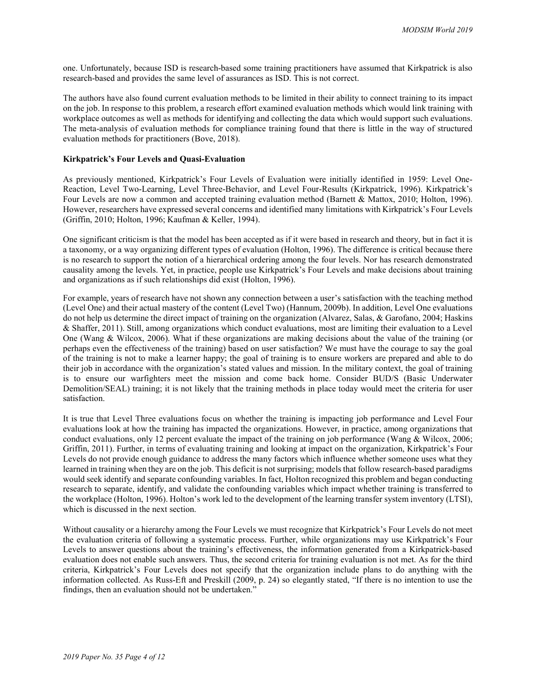one. Unfortunately, because ISD is research-based some training practitioners have assumed that Kirkpatrick is also research-based and provides the same level of assurances as ISD. This is not correct.

The authors have also found current evaluation methods to be limited in their ability to connect training to its impact on the job. In response to this problem, a research effort examined evaluation methods which would link training with workplace outcomes as well as methods for identifying and collecting the data which would support such evaluations. The meta-analysis of evaluation methods for compliance training found that there is little in the way of structured evaluation methods for practitioners (Bove, 2018).

#### **Kirkpatrick's Four Levels and Quasi-Evaluation**

As previously mentioned, Kirkpatrick's Four Levels of Evaluation were initially identified in 1959: Level One-Reaction, Level Two-Learning, Level Three-Behavior, and Level Four-Results (Kirkpatrick, 1996). Kirkpatrick's Four Levels are now a common and accepted training evaluation method (Barnett & Mattox, 2010; Holton, 1996). However, researchers have expressed several concerns and identified many limitations with Kirkpatrick's Four Levels (Griffin, 2010; Holton, 1996; Kaufman & Keller, 1994).

One significant criticism is that the model has been accepted as if it were based in research and theory, but in fact it is a taxonomy, or a way organizing different types of evaluation (Holton, 1996). The difference is critical because there is no research to support the notion of a hierarchical ordering among the four levels. Nor has research demonstrated causality among the levels. Yet, in practice, people use Kirkpatrick's Four Levels and make decisions about training and organizations as if such relationships did exist (Holton, 1996).

For example, years of research have not shown any connection between a user's satisfaction with the teaching method (Level One) and their actual mastery of the content (Level Two) (Hannum, 2009b). In addition, Level One evaluations do not help us determine the direct impact of training on the organization (Alvarez, Salas, & Garofano, 2004; Haskins & Shaffer, 2011). Still, among organizations which conduct evaluations, most are limiting their evaluation to a Level One (Wang & Wilcox, 2006). What if these organizations are making decisions about the value of the training (or perhaps even the effectiveness of the training) based on user satisfaction? We must have the courage to say the goal of the training is not to make a learner happy; the goal of training is to ensure workers are prepared and able to do their job in accordance with the organization's stated values and mission. In the military context, the goal of training is to ensure our warfighters meet the mission and come back home. Consider BUD/S (Basic Underwater Demolition/SEAL) training; it is not likely that the training methods in place today would meet the criteria for user satisfaction.

It is true that Level Three evaluations focus on whether the training is impacting job performance and Level Four evaluations look at how the training has impacted the organizations. However, in practice, among organizations that conduct evaluations, only 12 percent evaluate the impact of the training on job performance (Wang  $\&$  Wilcox, 2006; Griffin, 2011). Further, in terms of evaluating training and looking at impact on the organization, Kirkpatrick's Four Levels do not provide enough guidance to address the many factors which influence whether someone uses what they learned in training when they are on the job. This deficit is not surprising; models that follow research-based paradigms would seek identify and separate confounding variables. In fact, Holton recognized this problem and began conducting research to separate, identify, and validate the confounding variables which impact whether training is transferred to the workplace (Holton, 1996). Holton's work led to the development of the learning transfer system inventory (LTSI), which is discussed in the next section.

Without causality or a hierarchy among the Four Levels we must recognize that Kirkpatrick's Four Levels do not meet the evaluation criteria of following a systematic process. Further, while organizations may use Kirkpatrick's Four Levels to answer questions about the training's effectiveness, the information generated from a Kirkpatrick-based evaluation does not enable such answers. Thus, the second criteria for training evaluation is not met. As for the third criteria, Kirkpatrick's Four Levels does not specify that the organization include plans to do anything with the information collected. As Russ-Eft and Preskill (2009, p. 24) so elegantly stated, "If there is no intention to use the findings, then an evaluation should not be undertaken."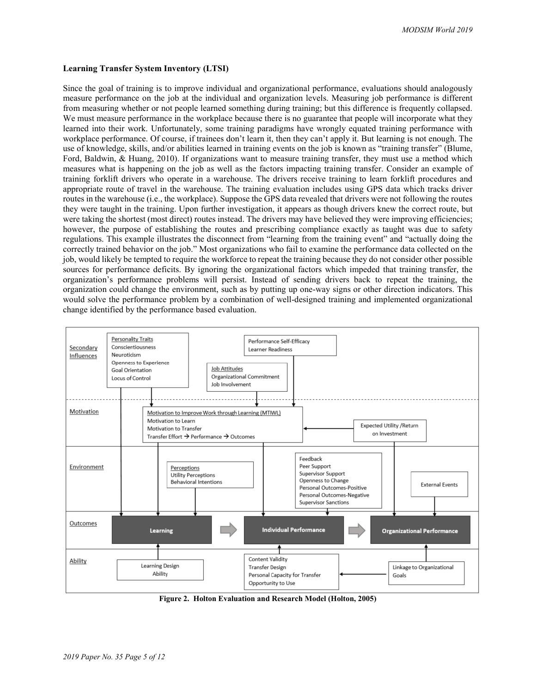# **Learning Transfer System Inventory (LTSI)**

Since the goal of training is to improve individual and organizational performance, evaluations should analogously measure performance on the job at the individual and organization levels. Measuring job performance is different from measuring whether or not people learned something during training; but this difference is frequently collapsed. We must measure performance in the workplace because there is no guarantee that people will incorporate what they learned into their work. Unfortunately, some training paradigms have wrongly equated training performance with workplace performance. Of course, if trainees don't learn it, then they can't apply it. But learning is not enough. The use of knowledge, skills, and/or abilities learned in training events on the job is known as "training transfer" (Blume, Ford, Baldwin, & Huang, 2010). If organizations want to measure training transfer, they must use a method which measures what is happening on the job as well as the factors impacting training transfer. Consider an example of training forklift drivers who operate in a warehouse. The drivers receive training to learn forklift procedures and appropriate route of travel in the warehouse. The training evaluation includes using GPS data which tracks driver routes in the warehouse (i.e., the workplace). Suppose the GPS data revealed that drivers were not following the routes they were taught in the training. Upon further investigation, it appears as though drivers knew the correct route, but were taking the shortest (most direct) routes instead. The drivers may have believed they were improving efficiencies; however, the purpose of establishing the routes and prescribing compliance exactly as taught was due to safety regulations. This example illustrates the disconnect from "learning from the training event" and "actually doing the correctly trained behavior on the job." Most organizations who fail to examine the performance data collected on the job, would likely be tempted to require the workforce to repeat the training because they do not consider other possible sources for performance deficits. By ignoring the organizational factors which impeded that training transfer, the organization's performance problems will persist. Instead of sending drivers back to repeat the training, the organization could change the environment, such as by putting up one-way signs or other direction indicators. This would solve the performance problem by a combination of well-designed training and implemented organizational change identified by the performance based evaluation.



<span id="page-4-0"></span>**Figure 2. Holton Evaluation and Research Model (Holton, 2005)**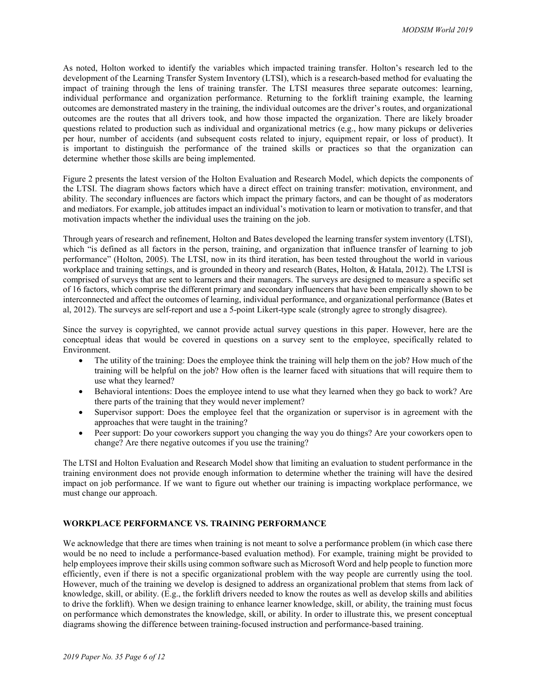As noted, Holton worked to identify the variables which impacted training transfer. Holton's research led to the development of the Learning Transfer System Inventory (LTSI), which is a research-based method for evaluating the impact of training through the lens of training transfer. The LTSI measures three separate outcomes: learning, individual performance and organization performance. Returning to the forklift training example, the learning outcomes are demonstrated mastery in the training, the individual outcomes are the driver's routes, and organizational outcomes are the routes that all drivers took, and how those impacted the organization. There are likely broader questions related to production such as individual and organizational metrics (e.g., how many pickups or deliveries per hour, number of accidents (and subsequent costs related to injury, equipment repair, or loss of product). It is important to distinguish the performance of the trained skills or practices so that the organization can determine whether those skills are being implemented.

[Figure 2](#page-4-0) presents the latest version of the Holton Evaluation and Research Model, which depicts the components of the LTSI. The diagram shows factors which have a direct effect on training transfer: motivation, environment, and ability. The secondary influences are factors which impact the primary factors, and can be thought of as moderators and mediators. For example, job attitudes impact an individual's motivation to learn or motivation to transfer, and that motivation impacts whether the individual uses the training on the job.

Through years of research and refinement, Holton and Bates developed the learning transfer system inventory (LTSI), which "is defined as all factors in the person, training, and organization that influence transfer of learning to job performance" (Holton, 2005). The LTSI, now in its third iteration, has been tested throughout the world in various workplace and training settings, and is grounded in theory and research (Bates, Holton, & Hatala, 2012). The LTSI is comprised of surveys that are sent to learners and their managers. The surveys are designed to measure a specific set of 16 factors, which comprise the different primary and secondary influencers that have been empirically shown to be interconnected and affect the outcomes of learning, individual performance, and organizational performance (Bates et al, 2012). The surveys are self-report and use a 5-point Likert-type scale (strongly agree to strongly disagree).

Since the survey is copyrighted, we cannot provide actual survey questions in this paper. However, here are the conceptual ideas that would be covered in questions on a survey sent to the employee, specifically related to Environment.

- The utility of the training: Does the employee think the training will help them on the job? How much of the training will be helpful on the job? How often is the learner faced with situations that will require them to use what they learned?
- Behavioral intentions: Does the employee intend to use what they learned when they go back to work? Are there parts of the training that they would never implement?
- Supervisor support: Does the employee feel that the organization or supervisor is in agreement with the approaches that were taught in the training?
- Peer support: Do your coworkers support you changing the way you do things? Are your coworkers open to change? Are there negative outcomes if you use the training?

The LTSI and Holton Evaluation and Research Model show that limiting an evaluation to student performance in the training environment does not provide enough information to determine whether the training will have the desired impact on job performance. If we want to figure out whether our training is impacting workplace performance, we must change our approach.

## **WORKPLACE PERFORMANCE VS. TRAINING PERFORMANCE**

We acknowledge that there are times when training is not meant to solve a performance problem (in which case there would be no need to include a performance-based evaluation method). For example, training might be provided to help employees improve their skills using common software such as Microsoft Word and help people to function more efficiently, even if there is not a specific organizational problem with the way people are currently using the tool. However, much of the training we develop is designed to address an organizational problem that stems from lack of knowledge, skill, or ability. (E.g., the forklift drivers needed to know the routes as well as develop skills and abilities to drive the forklift). When we design training to enhance learner knowledge, skill, or ability, the training must focus on performance which demonstrates the knowledge, skill, or ability. In order to illustrate this, we present conceptual diagrams showing the difference between training-focused instruction and performance-based training.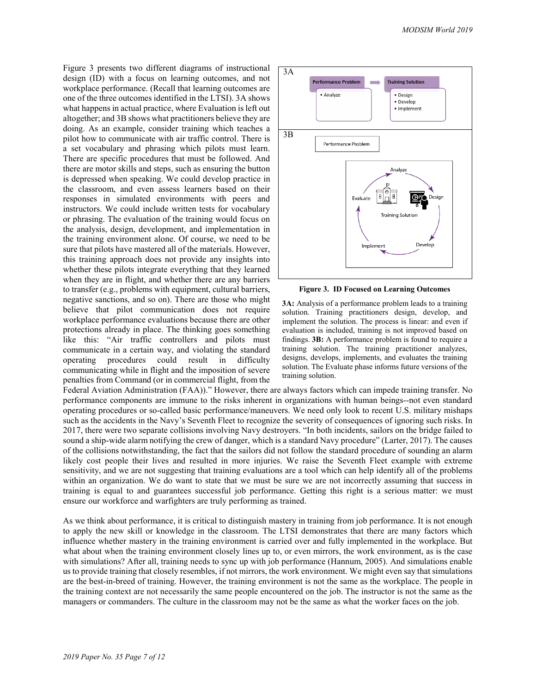Figure 3 presents two different diagrams of instructional design (ID) with a focus on learning outcomes, and not workplace performance. (Recall that learning outcomes are one of the three outcomes identified in the LTSI). 3A shows what happens in actual practice, where Evaluation is left out altogether; and 3B shows what practitioners believe they are doing. As an example, consider training which teaches a pilot how to communicate with air traffic control. There is a set vocabulary and phrasing which pilots must learn. There are specific procedures that must be followed. And there are motor skills and steps, such as ensuring the button is depressed when speaking. We could develop practice in the classroom, and even assess learners based on their responses in simulated environments with peers and instructors. We could include written tests for vocabulary or phrasing. The evaluation of the training would focus on the analysis, design, development, and implementation in the training environment alone. Of course, we need to be sure that pilots have mastered all of the materials. However, this training approach does not provide any insights into whether these pilots integrate everything that they learned when they are in flight, and whether there are any barriers to transfer (e.g., problems with equipment, cultural barriers, negative sanctions, and so on). There are those who might believe that pilot communication does not require workplace performance evaluations because there are other protections already in place. The thinking goes something like this: "Air traffic controllers and pilots must communicate in a certain way, and violating the standard operating procedures could result in difficulty communicating while in flight and the imposition of severe penalties from Command (or in commercial flight, from the



**Figure 3. ID Focused on Learning Outcomes**

**3A:** Analysis of a performance problem leads to a training solution. Training practitioners design, develop, and implement the solution. The process is linear: and even if evaluation is included, training is not improved based on findings. **3B:** A performance problem is found to require a training solution. The training practitioner analyzes, designs, develops, implements, and evaluates the training solution. The Evaluate phase informs future versions of the training solution.

Federal Aviation Administration (FAA))." However, there are always factors which can impede training transfer. No performance components are immune to the risks inherent in organizations with human beings--not even standard operating procedures or so-called basic performance/maneuvers. We need only look to recent U.S. military mishaps such as the accidents in the Navy's Seventh Fleet to recognize the severity of consequences of ignoring such risks. In 2017, there were two separate collisions involving Navy destroyers. "In both incidents, sailors on the bridge failed to sound a ship-wide alarm notifying the crew of danger, which is a standard Navy procedure" (Larter, 2017). The causes of the collisions notwithstanding, the fact that the sailors did not follow the standard procedure of sounding an alarm likely cost people their lives and resulted in more injuries. We raise the Seventh Fleet example with extreme sensitivity, and we are not suggesting that training evaluations are a tool which can help identify all of the problems within an organization. We do want to state that we must be sure we are not incorrectly assuming that success in training is equal to and guarantees successful job performance. Getting this right is a serious matter: we must ensure our workforce and warfighters are truly performing as trained.

As we think about performance, it is critical to distinguish mastery in training from job performance. It is not enough to apply the new skill or knowledge in the classroom. The LTSI demonstrates that there are many factors which influence whether mastery in the training environment is carried over and fully implemented in the workplace. But what about when the training environment closely lines up to, or even mirrors, the work environment, as is the case with simulations? After all, training needs to sync up with job performance (Hannum, 2005). And simulations enable us to provide training that closely resembles, if not mirrors, the work environment. We might even say that simulations are the best-in-breed of training. However, the training environment is not the same as the workplace. The people in the training context are not necessarily the same people encountered on the job. The instructor is not the same as the managers or commanders. The culture in the classroom may not be the same as what the worker faces on the job.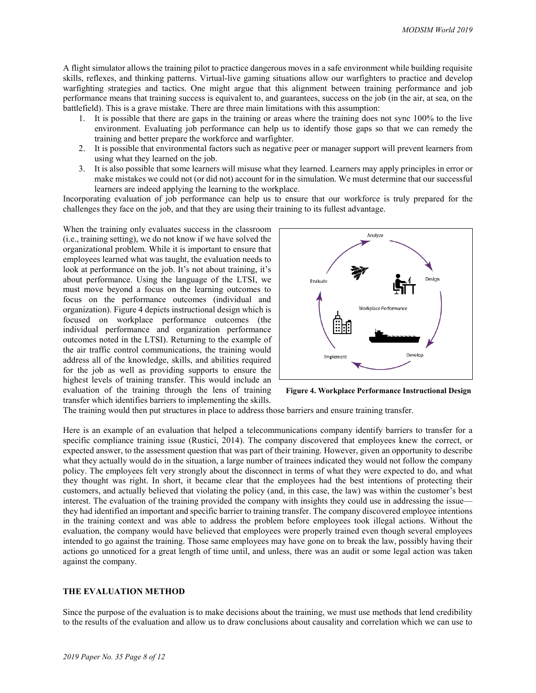A flight simulator allows the training pilot to practice dangerous moves in a safe environment while building requisite skills, reflexes, and thinking patterns. Virtual-live gaming situations allow our warfighters to practice and develop warfighting strategies and tactics. One might argue that this alignment between training performance and job performance means that training success is equivalent to, and guarantees, success on the job (in the air, at sea, on the battlefield). This is a grave mistake. There are three main limitations with this assumption:

- 1. It is possible that there are gaps in the training or areas where the training does not sync 100% to the live environment. Evaluating job performance can help us to identify those gaps so that we can remedy the training and better prepare the workforce and warfighter.
- 2. It is possible that environmental factors such as negative peer or manager support will prevent learners from using what they learned on the job.
- 3. It is also possible that some learners will misuse what they learned. Learners may apply principles in error or make mistakes we could not (or did not) account for in the simulation. We must determine that our successful learners are indeed applying the learning to the workplace.

Incorporating evaluation of job performance can help us to ensure that our workforce is truly prepared for the challenges they face on the job, and that they are using their training to its fullest advantage.

When the training only evaluates success in the classroom (i.e., training setting), we do not know if we have solved the organizational problem. While it is important to ensure that employees learned what was taught, the evaluation needs to look at performance on the job. It's not about training, it's about performance. Using the language of the LTSI, we must move beyond a focus on the learning outcomes to focus on the performance outcomes (individual and organization). [Figure 4](#page-7-0) depicts instructional design which is focused on workplace performance outcomes (the individual performance and organization performance outcomes noted in the LTSI). Returning to the example of the air traffic control communications, the training would address all of the knowledge, skills, and abilities required for the job as well as providing supports to ensure the highest levels of training transfer. This would include an evaluation of the training through the lens of training transfer which identifies barriers to implementing the skills.



<span id="page-7-0"></span>**Figure 4. Workplace Performance Instructional Design**

The training would then put structures in place to address those barriers and ensure training transfer.

Here is an example of an evaluation that helped a telecommunications company identify barriers to transfer for a specific compliance training issue (Rustici, 2014). The company discovered that employees knew the correct, or expected answer, to the assessment question that was part of their training. However, given an opportunity to describe what they actually would do in the situation, a large number of trainees indicated they would not follow the company policy. The employees felt very strongly about the disconnect in terms of what they were expected to do, and what they thought was right. In short, it became clear that the employees had the best intentions of protecting their customers, and actually believed that violating the policy (and, in this case, the law) was within the customer's best interest. The evaluation of the training provided the company with insights they could use in addressing the issue they had identified an important and specific barrier to training transfer. The company discovered employee intentions in the training context and was able to address the problem before employees took illegal actions. Without the evaluation, the company would have believed that employees were properly trained even though several employees intended to go against the training. Those same employees may have gone on to break the law, possibly having their actions go unnoticed for a great length of time until, and unless, there was an audit or some legal action was taken against the company.

# **THE EVALUATION METHOD**

Since the purpose of the evaluation is to make decisions about the training, we must use methods that lend credibility to the results of the evaluation and allow us to draw conclusions about causality and correlation which we can use to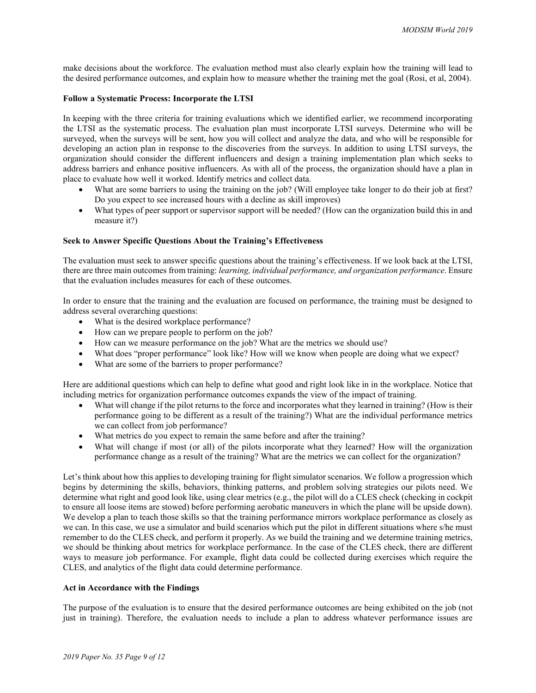make decisions about the workforce. The evaluation method must also clearly explain how the training will lead to the desired performance outcomes, and explain how to measure whether the training met the goal (Rosi, et al, 2004).

### **Follow a Systematic Process: Incorporate the LTSI**

In keeping with the three criteria for training evaluations which we identified earlier, we recommend incorporating the LTSI as the systematic process. The evaluation plan must incorporate LTSI surveys. Determine who will be surveyed, when the surveys will be sent, how you will collect and analyze the data, and who will be responsible for developing an action plan in response to the discoveries from the surveys. In addition to using LTSI surveys, the organization should consider the different influencers and design a training implementation plan which seeks to address barriers and enhance positive influencers. As with all of the process, the organization should have a plan in place to evaluate how well it worked. Identify metrics and collect data.

- What are some barriers to using the training on the job? (Will employee take longer to do their job at first? Do you expect to see increased hours with a decline as skill improves)
- What types of peer support or supervisor support will be needed? (How can the organization build this in and measure it?)

# **Seek to Answer Specific Questions About the Training's Effectiveness**

The evaluation must seek to answer specific questions about the training's effectiveness. If we look back at the LTSI, there are three main outcomes from training: *learning, individual performance, and organization performance*. Ensure that the evaluation includes measures for each of these outcomes.

In order to ensure that the training and the evaluation are focused on performance, the training must be designed to address several overarching questions:

- What is the desired workplace performance?
- How can we prepare people to perform on the job?
- How can we measure performance on the job? What are the metrics we should use?
- What does "proper performance" look like? How will we know when people are doing what we expect?
- What are some of the barriers to proper performance?

Here are additional questions which can help to define what good and right look like in in the workplace. Notice that including metrics for organization performance outcomes expands the view of the impact of training.

- What will change if the pilot returns to the force and incorporates what they learned in training? (How is their performance going to be different as a result of the training?) What are the individual performance metrics we can collect from job performance?
- What metrics do you expect to remain the same before and after the training?
- What will change if most (or all) of the pilots incorporate what they learned? How will the organization performance change as a result of the training? What are the metrics we can collect for the organization?

Let's think about how this applies to developing training for flight simulator scenarios. We follow a progression which begins by determining the skills, behaviors, thinking patterns, and problem solving strategies our pilots need. We determine what right and good look like, using clear metrics (e.g., the pilot will do a CLES check (checking in cockpit to ensure all loose items are stowed) before performing aerobatic maneuvers in which the plane will be upside down). We develop a plan to teach those skills so that the training performance mirrors workplace performance as closely as we can. In this case, we use a simulator and build scenarios which put the pilot in different situations where s/he must remember to do the CLES check, and perform it properly. As we build the training and we determine training metrics, we should be thinking about metrics for workplace performance. In the case of the CLES check, there are different ways to measure job performance. For example, flight data could be collected during exercises which require the CLES, and analytics of the flight data could determine performance.

## **Act in Accordance with the Findings**

The purpose of the evaluation is to ensure that the desired performance outcomes are being exhibited on the job (not just in training). Therefore, the evaluation needs to include a plan to address whatever performance issues are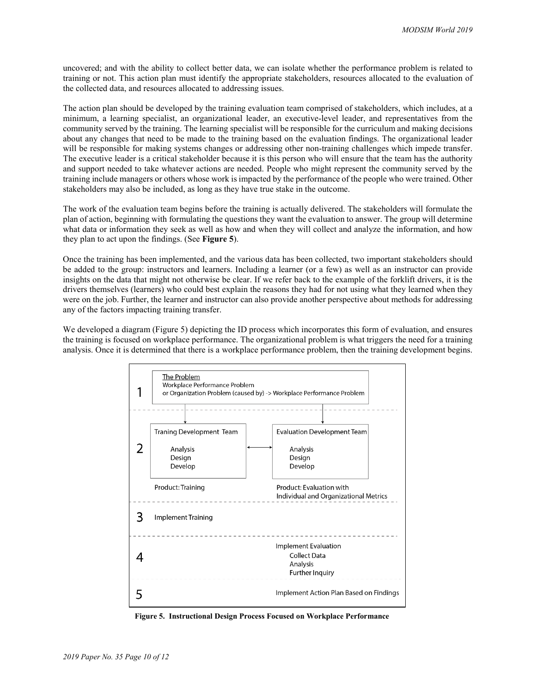uncovered; and with the ability to collect better data, we can isolate whether the performance problem is related to training or not. This action plan must identify the appropriate stakeholders, resources allocated to the evaluation of the collected data, and resources allocated to addressing issues.

The action plan should be developed by the training evaluation team comprised of stakeholders, which includes, at a minimum, a learning specialist, an organizational leader, an executive-level leader, and representatives from the community served by the training. The learning specialist will be responsible for the curriculum and making decisions about any changes that need to be made to the training based on the evaluation findings. The organizational leader will be responsible for making systems changes or addressing other non-training challenges which impede transfer. The executive leader is a critical stakeholder because it is this person who will ensure that the team has the authority and support needed to take whatever actions are needed. People who might represent the community served by the training include managers or others whose work is impacted by the performance of the people who were trained. Other stakeholders may also be included, as long as they have true stake in the outcome.

The work of the evaluation team begins before the training is actually delivered. The stakeholders will formulate the plan of action, beginning with formulating the questions they want the evaluation to answer. The group will determine what data or information they seek as well as how and when they will collect and analyze the information, and how they plan to act upon the findings. (See **Figure 5**).

Once the training has been implemented, and the various data has been collected, two important stakeholders should be added to the group: instructors and learners. Including a learner (or a few) as well as an instructor can provide insights on the data that might not otherwise be clear. If we refer back to the example of the forklift drivers, it is the drivers themselves (learners) who could best explain the reasons they had for not using what they learned when they were on the job. Further, the learner and instructor can also provide another perspective about methods for addressing any of the factors impacting training transfer.

We developed a diagram [\(Figure 5\)](#page-9-0) depicting the ID process which incorporates this form of evaluation, and ensures the training is focused on workplace performance. The organizational problem is what triggers the need for a training analysis. Once it is determined that there is a workplace performance problem, then the training development begins.



<span id="page-9-0"></span>**Figure 5. Instructional Design Process Focused on Workplace Performance**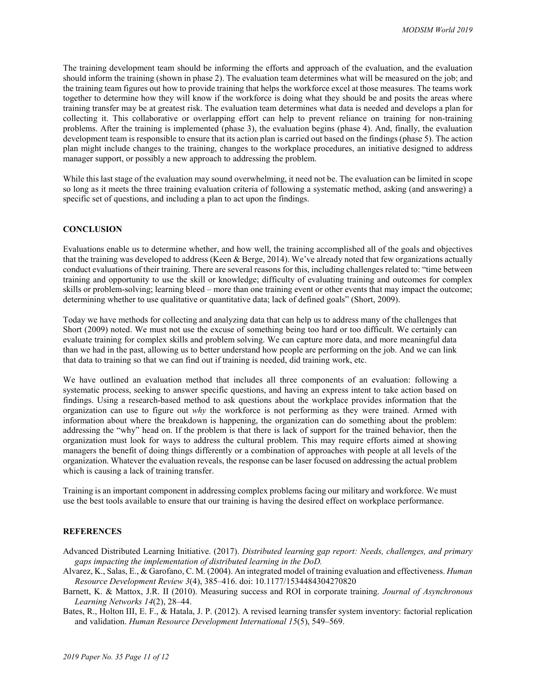The training development team should be informing the efforts and approach of the evaluation, and the evaluation should inform the training (shown in phase 2). The evaluation team determines what will be measured on the job; and the training team figures out how to provide training that helps the workforce excel at those measures. The teams work together to determine how they will know if the workforce is doing what they should be and posits the areas where training transfer may be at greatest risk. The evaluation team determines what data is needed and develops a plan for collecting it. This collaborative or overlapping effort can help to prevent reliance on training for non-training problems. After the training is implemented (phase 3), the evaluation begins (phase 4). And, finally, the evaluation development team is responsible to ensure that its action plan is carried out based on the findings (phase 5). The action plan might include changes to the training, changes to the workplace procedures, an initiative designed to address manager support, or possibly a new approach to addressing the problem.

While this last stage of the evaluation may sound overwhelming, it need not be. The evaluation can be limited in scope so long as it meets the three training evaluation criteria of following a systematic method, asking (and answering) a specific set of questions, and including a plan to act upon the findings.

#### **CONCLUSION**

Evaluations enable us to determine whether, and how well, the training accomplished all of the goals and objectives that the training was developed to address (Keen & Berge, 2014). We've already noted that few organizations actually conduct evaluations of their training. There are several reasons for this, including challenges related to: "time between training and opportunity to use the skill or knowledge; difficulty of evaluating training and outcomes for complex skills or problem-solving; learning bleed – more than one training event or other events that may impact the outcome; determining whether to use qualitative or quantitative data; lack of defined goals" (Short, 2009).

Today we have methods for collecting and analyzing data that can help us to address many of the challenges that Short (2009) noted. We must not use the excuse of something being too hard or too difficult. We certainly can evaluate training for complex skills and problem solving. We can capture more data, and more meaningful data than we had in the past, allowing us to better understand how people are performing on the job. And we can link that data to training so that we can find out if training is needed, did training work, etc.

We have outlined an evaluation method that includes all three components of an evaluation: following a systematic process, seeking to answer specific questions, and having an express intent to take action based on findings. Using a research-based method to ask questions about the workplace provides information that the organization can use to figure out *why* the workforce is not performing as they were trained. Armed with information about where the breakdown is happening, the organization can do something about the problem: addressing the "why" head on. If the problem is that there is lack of support for the trained behavior, then the organization must look for ways to address the cultural problem. This may require efforts aimed at showing managers the benefit of doing things differently or a combination of approaches with people at all levels of the organization. Whatever the evaluation reveals, the response can be laser focused on addressing the actual problem which is causing a lack of training transfer.

Training is an important component in addressing complex problems facing our military and workforce. We must use the best tools available to ensure that our training is having the desired effect on workplace performance.

#### **REFERENCES**

- Advanced Distributed Learning Initiative. (2017). *Distributed learning gap report: Needs, challenges, and primary gaps impacting the implementation of distributed learning in the DoD.*
- Alvarez, K., Salas, E., & Garofano, C. M. (2004). An integrated model of training evaluation and effectiveness. *Human Resource Development Review 3*(4), 385–416. doi: 10.1177/1534484304270820
- Barnett, K. & Mattox, J.R. II (2010). Measuring success and ROI in corporate training. *Journal of Asynchronous Learning Networks 14*(2), 28–44.

Bates, R., Holton III, E. F., & Hatala, J. P. (2012). A revised learning transfer system inventory: factorial replication and validation. *Human Resource Development International 15*(5), 549–569.